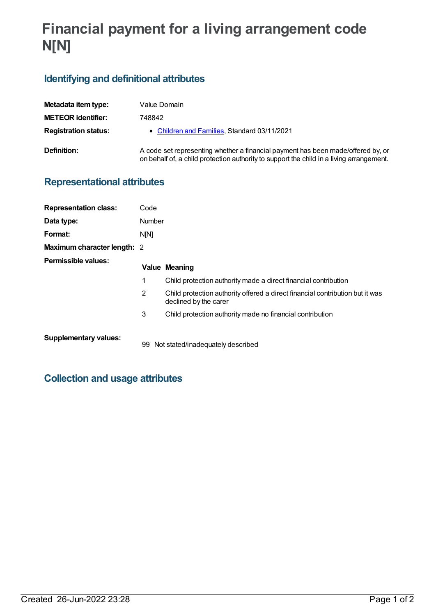# **Financial payment for a living arrangement code N[N]**

## **Identifying and definitional attributes**

| Metadata item type:         | Value Domain                                                                                                                                                                 |
|-----------------------------|------------------------------------------------------------------------------------------------------------------------------------------------------------------------------|
| <b>METEOR identifier:</b>   | 748842                                                                                                                                                                       |
| <b>Registration status:</b> | • Children and Families, Standard 03/11/2021                                                                                                                                 |
| Definition:                 | A code set representing whether a financial payment has been made/offered by, or<br>on behalf of, a child protection authority to support the child in a living arrangement. |

#### **Representational attributes**

| <b>Representation class:</b> | Code           |                                                                                                        |
|------------------------------|----------------|--------------------------------------------------------------------------------------------------------|
| Data type:                   | Number         |                                                                                                        |
| Format:                      | N[N]           |                                                                                                        |
| Maximum character length: 2  |                |                                                                                                        |
| Permissible values:          |                | Value Meaning                                                                                          |
|                              | 1              | Child protection authority made a direct financial contribution                                        |
|                              | $\overline{2}$ | Child protection authority offered a direct financial contribution but it was<br>declined by the carer |
|                              | 3              | Child protection authority made no financial contribution                                              |
| <b>Supplementary values:</b> | 99             | Not stated/inadequately described                                                                      |

### **Collection and usage attributes**